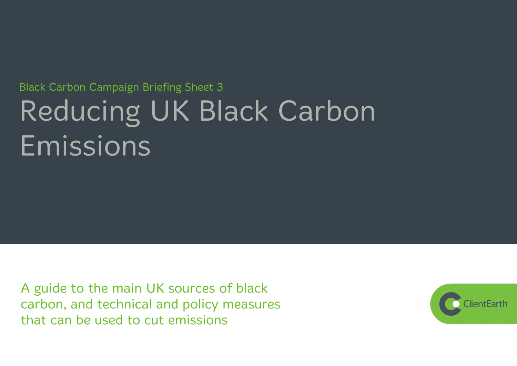# **Black Carbon Campaign Briefing Sheet 3** Reducing UK Black Carbon Emissions

A guide to the main UK sources of black carbon, and technical and policy measures that can be used to cut emissions

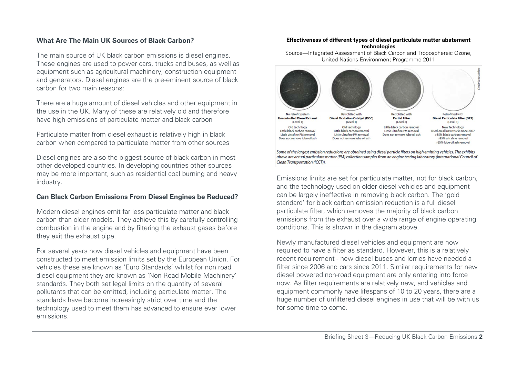# **What Are The Main UK Sources of Black Carbon?**

The main source of UK black carbon emissions is diesel engines. These engines are used to power cars, trucks and buses, as well as equipment such as agricultural machinery, construction equipment and generators. Diesel engines are the pre-eminent source of black carbon for two main reasons:

There are a huge amount of diesel vehicles and other equipment in the use in the UK. Many of these are relatively old and therefore have high emissions of particulate matter and black carbon

Particulate matter from diesel exhaust is relatively high in black carbon when compared to particulate matter from other sources

Diesel engines are also the biggest source of black carbon in most other developed countries. In developing countries other sources may be more important, such as residential coal burning and heavy industry.

### **Can Black Carbon Emissions From Diesel Engines be Reduced?**

Modern diesel engines emit far less particulate matter and black carbon than older models. They achieve this by carefully controlling combustion in the engine and by filtering the exhaust gases before they exit the exhaust pipe.

For several years now diesel vehicles and equipment have been constructed to meet emission limits set by the European Union. For vehicles these are known as 'Euro Standards' whilst for non road diesel equipment they are known as 'Non Road Mobile Machinery' standards. They both set legal limits on the quantity of several pollutants that can be emitted, including particulate matter. The standards have become increasingly strict over time and the technology used to meet them has advanced to ensure ever lower emissions.

#### **Effectiveness of different types of diesel particulate matter abatement technologies**

Source—Integrated Assessment of Black Carbon and Troposphereic Ozone, United Nations Environment Programme 2011



above are actual particulate matter (PM) collection samples from an engine testing laboratory (International Council of Clean Transportation (ICCT)).

Emissions limits are set for particulate matter, not for black carbon, and the technology used on older diesel vehicles and equipment can be largely ineffective in removing black carbon. The 'gold standard' for black carbon emission reduction is a full diesel particulate filter, which removes the majority of black carbon emissions from the exhaust over a wide range of engine operating conditions. This is shown in the diagram above.

Newly manufactured diesel vehicles and equipment are now required to have a filter as standard. However, this is a relatively recent requirement - new diesel buses and lorries have needed a filter since 2006 and cars since 2011. Similar requirements for new diesel powered non-road equipment are only entering into force now. As filter requirements are relatively new, and vehicles and equipment commonly have lifespans of 10 to 20 years, there are a huge number of unfiltered diesel engines in use that will be with us for some time to come.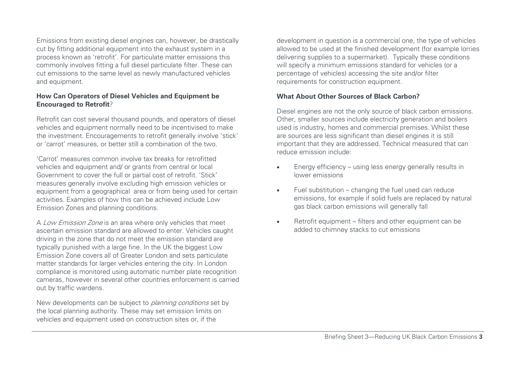Emissions from existing diesel engines can, however, be drastically cut by fitting additional equipment into the exhaust system in a process known as 'retrofit'. For particulate matter emissions this commonly involves fitting a full diesel particulate filter. These can cut emissions to the same level as newly manufactured vehicles and equipment.

#### **How Can Operators of Diesel Vehicles and Equipment be Encouraged to Retrofit**?

Retrofit can cost several thousand pounds, and operators of diesel vehicles and equipment normally need to be incentivised to make the investment. Encouragements to retrofit generally involve 'stick' or 'carrot' measures, or better still a combination of the two.

'Carrot' measures common involve tax breaks for retrofitted vehicles and equipment and/ or grants from central or local Government to cover the full or partial cost of retrofit. 'Stick' measures generally involve excluding high emission vehicles or equipment from a geographical area or from being used for certain activities. Examples of how this can be achieved include Low Emission Zones and planning conditions.

A Low Emission Zone is an area where only vehicles that meet ascertain emission standard are allowed to enter. Vehicles caught driving in the zone that do not meet the emission standard are typically punished with a large fine. In the UK the biggest Low Emission Zone covers all of Greater London and sets particulate matter standards for larger vehicles entering the city. In London compliance is monitored using automatic number plate recognition cameras, however in several other countries enforcement is carried out by traffic wardens.

New developments can be subject to *planning conditions* set by the local planning authority. These may set emission limits on vehicles and equipment used on construction sites or, if the

development in question is a commercial one, the type of vehicles allowed to be used at the finished development (for example lorries delivering supplies to a supermarket). Typically these conditions will specify a minimum emissions standard for vehicles (or a percentage of vehicles) accessing the site and/or filter requirements for construction equipment.

#### **What About Other Sources of Black Carbon?**

Diesel engines are not the only source of black carbon emissions. Other, smaller sources include electricity generation and boilers used is industry, homes and commercial premises. Whilst these are sources are less significant than diesel engines it is still important that they are addressed. Technical measured that can reduce emission include:

- Energy efficiency using less energy generally results in lower emissions
- $\bullet$  Fuel substitution changing the fuel used can reduce emissions, for example if solid fuels are replaced by natural gas black carbon emissions will generally fall
- Retrofit equipment filters and other equipment can be added to chimney stacks to cut emissions